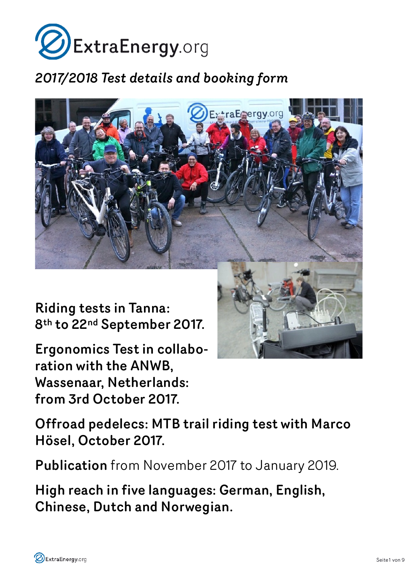

# *2017/2018 Test details and booking form*



Riding tests in Tanna: 8th to 22nd September 2017.

Ergonomics Test in collaboration with the ANWB, Wassenaar, Netherlands: from 3rd October 2017.

Offroad pedelecs: MTB trail riding test with Marco Hösel, October 2017.

Publication from November 2017 to January 2019.

High reach in five languages: German, English, Chinese, Dutch and Norwegian.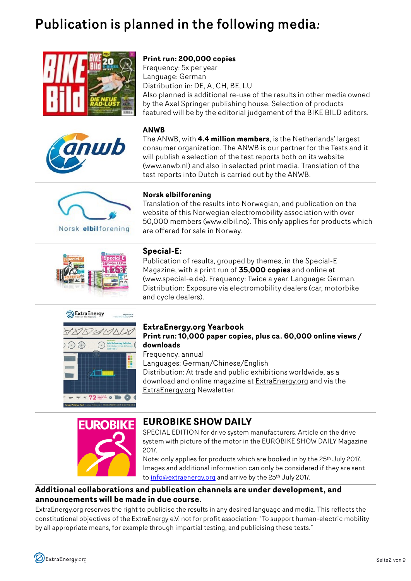# Publication is planned in the following media*:*





## **Print run: 200,000 copies**

Frequency: 5x per year Language: German Distribution in: DE, A, CH, BE, LU Also planned is additional re-use of the results in other media owned by the Axel Springer publishing house. Selection of products featured will be by the editorial judgement of the BIKE BILD editors.

### **ANWB**

The ANWB, with **4.4 million members**, is the Netherlands' largest consumer organization. The ANWB is our partner for the Tests and it will publish a selection of the test reports both on its website [\(www.anwb.nl](http://www.anwb.nl/)) and also in selected print media. Translation of the test reports into Dutch is carried out by the ANWB.



Norsk elbilforening

## **Norsk elbilforening**

Translation of the results into Norwegian, and publication on the website of this Norwegian electromobility association with over 50,000 members (www.elbil.no). This only applies for products which are offered for sale in Norway.



## **Special-E:**

Publication of results, grouped by themes, in the Special-E Magazine, with a print run of **35,000 copies** and online at (www.special-e.de). Frequency: Twice a year. Language: German. Distribution: Exposure via electromobility dealers (car, motorbike and cycle dealers).



### **ExtraEnergy.org Yearbook Print run: 10,000 paper copies, plus ca. 60,000 online views / downloads**

Frequency: annual Languages: German/Chinese/English Distribution: At trade and public exhibitions worldwide, as a download and online magazine at ExtraEnergy.org and via the ExtraEnergy.org Newsletter.



## **EUROBIKE SHOW DAILY**

SPECIAL EDITION for drive system manufacturers: Article on the drive system with picture of the motor in the EUROBIKE SHOW DAILY Magazine 2017.

Note: only applies for products which are booked in by the 25th July 2017. Images and additional information can only be considered if they are sent to [info@extraenergy.org](mailto:info@extraenergy.org) and arrive by the 25<sup>th</sup> July 2017.

## **Additional collaborations and publication channels are under development, and announcements will be made in due course.**

ExtraEnergy.org reserves the right to publicise the results in any desired language and media. This reflects the constitutional objectives of the ExtraEnergy e.V. not for profit association: "To support human-electric mobility by all appropriate means, for example through impartial testing, and publicising these tests."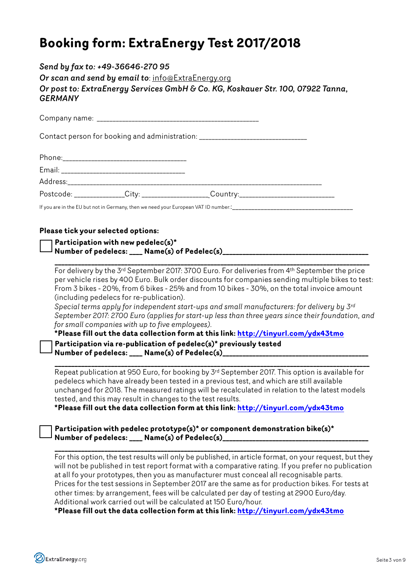# **Booking form: ExtraEnergy Test 2017/2018**

## *Send by fax to: +49-36646-270 95 Or scan and send by email to*: [info@ExtraEnergy.org](mailto:info@ExtraEnergy.org?subject=) *Or post to: ExtraEnergy Services GmbH & Co. KG, Koskauer Str. 100, 07922 Tanna, GERMANY*

Contact person for booking and administration: \_\_\_\_\_\_\_\_\_\_\_\_\_\_\_\_\_\_\_\_\_\_\_\_\_\_\_\_\_\_\_\_\_

| Phone:    |      |          |  |
|-----------|------|----------|--|
| Email:    |      |          |  |
| Address:  |      |          |  |
| Postcode: | Cutw | Country: |  |

If you are in the EU but not in Germany, then we need your European VAT ID number::\_\_

## **Please tick your selected options:**

Company name:

 **Participation with new pedelec(s)\* Number of pedelecs: \_\_\_\_ Name(s) of Pedelec(s)\_\_\_\_\_\_\_\_\_\_\_\_\_\_\_\_\_\_\_\_\_\_\_\_\_\_\_\_\_\_\_\_\_\_\_\_\_\_\_\_\_\_\_\_** 

 **\_\_\_\_\_\_\_\_\_\_\_\_\_\_\_\_\_\_\_\_\_\_\_\_\_\_\_\_\_\_\_\_\_\_\_\_\_\_\_\_\_\_\_\_\_\_\_\_\_\_\_\_\_\_\_\_\_\_\_\_\_\_\_\_\_\_\_\_\_\_\_\_\_\_\_\_\_\_\_\_\_\_\_\_\_\_\_\_\_\_\_\_\_\_\_** For delivery by the 3rd September 2017: 3700 Euro. For deliveries from 4th September the price per vehicle rises by 400 Euro. Bulk order discounts for companies sending multiple bikes to test: From 3 bikes - 20%, from 6 bikes - 25% and from 10 bikes - 30%, on the total invoice amount (including pedelecs for re-publication).

*Special terms apply for independent start-ups and small manufacturers: for delivery by 3rd September 2017: 2700 Euro (applies for start-up less than three years since their foundation, and for small companies with up to five employees).*

**\*Please fill out the data collection form at this link: <http://tinyurl.com/ydx43tmo> Participation via re-publication of pedelec(s)\* previously tested** Number of pedelecs: \_\_\_\_ Name(s) of Pedelec(s)\_

 **\_\_\_\_\_\_\_\_\_\_\_\_\_\_\_\_\_\_\_\_\_\_\_\_\_\_\_\_\_\_\_\_\_\_\_\_\_\_\_\_\_\_\_\_\_\_\_\_\_\_\_\_\_\_\_\_\_\_\_\_\_\_\_\_\_\_\_\_\_\_\_\_\_\_\_\_\_\_\_\_\_\_\_\_\_\_\_\_\_\_\_\_\_\_\_** Repeat publication at 950 Euro, for booking by 3rd September 2017. This option is available for pedelecs which have already been tested in a previous test, and which are still available unchanged for 2018. The measured ratings will be recalculated in relation to the latest models tested, and this may result in changes to the test results.

**\*Please fill out the data collection form at this link: <http://tinyurl.com/ydx43tmo>**

 **Participation with pedelec prototype(s)\* or component demonstration bike(s)\*** Number of pedelecs: \_\_\_\_ Name(s) of Pedelec(s)\_\_\_\_\_

 **\_\_\_\_\_\_\_\_\_\_\_\_\_\_\_\_\_\_\_\_\_\_\_\_\_\_\_\_\_\_\_\_\_\_\_\_\_\_\_\_\_\_\_\_\_\_\_\_\_\_\_\_\_\_\_\_\_\_\_\_\_\_\_\_\_\_\_\_\_\_\_\_\_\_\_\_\_\_\_\_\_\_\_\_\_\_\_\_\_\_\_\_\_\_\_** For this option, the test results will only be published, in article format, on your request, but they will not be published in test report format with a comparative rating. If you prefer no publication at all fo your prototypes, then you as manufacturer must conceal all recognisable parts. Prices for the test sessions in September 2017 are the same as for production bikes. For tests at other times: by arrangement, fees will be calculated per day of testing at 2900 Euro/day. Additional work carried out will be calculated at 150 Euro/hour.

**\*Please fill out the data collection form at this link: <http://tinyurl.com/ydx43tmo>**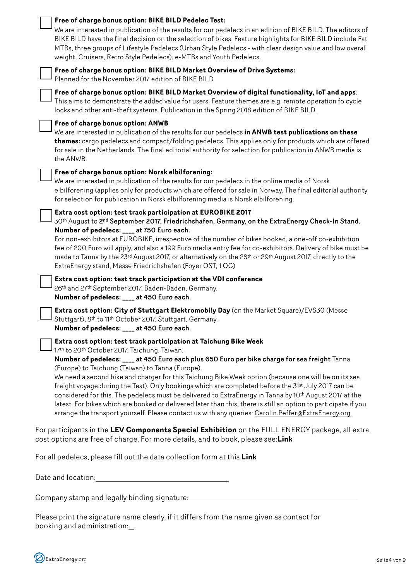| Free of charge bonus option: BIKE BILD Pedelec Test:<br>We are interested in publication of the results for our pedelecs in an edition of BIKE BILD. The editors of<br>BIKE BILD have the final decision on the selection of bikes. Feature highlights for BIKE BILD include Fat<br>MTBs, three groups of Lifestyle Pedelecs (Urban Style Pedelecs - with clear design value and low overall<br>weight, Cruisers, Retro Style Pedelecs), e-MTBs and Youth Pedelecs.                                                                                                                                                                                                                                                                                                                                                                  |
|--------------------------------------------------------------------------------------------------------------------------------------------------------------------------------------------------------------------------------------------------------------------------------------------------------------------------------------------------------------------------------------------------------------------------------------------------------------------------------------------------------------------------------------------------------------------------------------------------------------------------------------------------------------------------------------------------------------------------------------------------------------------------------------------------------------------------------------|
| Free of charge bonus option: BIKE BILD Market Overview of Drive Systems:<br>Planned for the November 2017 edition of BIKE BILD                                                                                                                                                                                                                                                                                                                                                                                                                                                                                                                                                                                                                                                                                                       |
| Free of charge bonus option: BIKE BILD Market Overview of digital functionality, IoT and apps:<br>This aims to demonstrate the added value for users. Feature themes are e.g. remote operation fo cycle<br>locks and other anti-theft systems. Publication in the Spring 2018 edition of BIKE BILD.                                                                                                                                                                                                                                                                                                                                                                                                                                                                                                                                  |
| Free of charge bonus option: ANWB<br>We are interested in publication of the results for our pedelecs in ANWB test publications on these<br>themes: cargo pedelecs and compact/folding pedelecs. This applies only for products which are offered<br>for sale in the Netherlands. The final editorial authority for selection for publication in ANWB media is<br>the ANWB.                                                                                                                                                                                                                                                                                                                                                                                                                                                          |
| Free of charge bonus option: Norsk elbilforening:<br>We are interested in publication of the results for our pedelecs in the online media of Norsk<br>elbilforening (applies only for products which are offered for sale in Norway. The final editorial authority<br>for selection for publication in Norsk elbilforening media is Norsk elbilforening.                                                                                                                                                                                                                                                                                                                                                                                                                                                                             |
| Extra cost option: test track participation at EUROBIKE 2017<br>30th August to 2nd September 2017, Friedrichshafen, Germany, on the ExtraEnergy Check-In Stand.<br>Number of pedelecs: ___ at 750 Euro each.<br>For non-exhibitors at EUROBIKE, irrespective of the number of bikes booked, a one-off co-exhibition<br>fee of 200 Euro will apply, and also a 199 Euro media entry fee for co-exhibitors. Delivery of bike must be<br>made to Tanna by the 23rd August 2017, or alternatively on the 28th or 29th August 2017, directly to the<br>ExtraEnergy stand, Messe Friedrichshafen (Foyer OST, 1OG)                                                                                                                                                                                                                          |
| Extra cost option: test track participation at the VDI conference<br>26th and 27th September 2017, Baden-Baden, Germany.<br>Number of pedelecs: ___ at 450 Euro each.                                                                                                                                                                                                                                                                                                                                                                                                                                                                                                                                                                                                                                                                |
| Extra cost option: City of Stuttgart Elektromobily Day (on the Market Square)/EVS30 (Messe<br>Stuttgart), 8th to 11th October 2017, Stuttgart, Germany.<br>Number of pedelecs: ____ at 450 Euro each.                                                                                                                                                                                                                                                                                                                                                                                                                                                                                                                                                                                                                                |
| Extra cost option: test track participation at Taichung Bike Week<br>17th to 20th October 2017, Taichung, Taiwan.<br>Number of pedelecs: ____ at 450 Euro each plus 650 Euro per bike charge for sea freight Tanna<br>(Europe) to Taichung (Taiwan) to Tanna (Europe).<br>We need a second bike and charger for this Taichung Bike Week option (because one will be on its sea<br>freight voyage during the Test). Only bookings which are completed before the 31 <sup>st</sup> July 2017 can be<br>considered for this. The pedelecs must be delivered to ExtraEnergy in Tanna by 10th August 2017 at the<br>latest. For bikes which are booked or delivered later than this, there is still an option to participate if you<br>arrange the transport yourself. Please contact us with any queries: Carolin.Peffer@ExtraEnergy.org |
| For participants in the LEV Components Special Exhibition on the FULL ENERGY package, all extra<br>cost options are free of charge. For more details, and to book, please see:Link                                                                                                                                                                                                                                                                                                                                                                                                                                                                                                                                                                                                                                                   |
| For all pedelecs, please fill out the data collection form at this Link                                                                                                                                                                                                                                                                                                                                                                                                                                                                                                                                                                                                                                                                                                                                                              |

| Date and location: |  |
|--------------------|--|
|                    |  |

Company stamp and legally binding signature: \_\_\_\_\_\_\_\_\_\_\_\_\_\_\_\_\_\_\_\_\_\_\_\_\_\_\_\_\_\_\_\_\_\_\_

Please print the signature name clearly, if it differs from the name given as contact for booking and administration: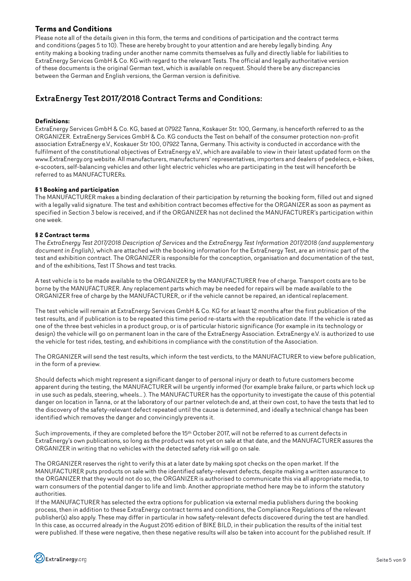### **Terms and Conditions**

Please note all of the details given in this form, the terms and conditions of participation and the contract terms and conditions (pages 5 to 10). These are hereby brought to your attention and are hereby legally binding. Any entity making a booking trading under another name commits themselves as fully and directly liable for liabilities to ExtraEnergy Services GmbH & Co. KG with regard to the relevant Tests. The official and legally authoritative version of these documents is the original German text, which is available on request. Should there be any discrepancies between the German and English versions, the German version is definitive.

## ExtraEnergy Test 2017/2018 Contract Terms and Conditions:

#### **Definitions:**

ExtraEnergy Services GmbH & Co. KG, based at 07922 Tanna, Koskauer Str. 100, Germany, is henceforth referred to as the ORGANIZER. ExtraEnergy Services GmbH & Co. KG conducts the Test on behalf of the consumer protection non-profit association ExtraEnergy e.V., Koskauer Str 100, 07922 Tanna, Germany. This activity is conducted in accordance with the fulfilment of the constitutional objectives of ExtraEnergy e.V., which are available to view in their latest updated form on the www.ExtraEnergy.org website. All manufacturers, manufacturers' representatives, importers and dealers of pedelecs, e-bikes, e-scooters, self-balancing vehicles and other light electric vehicles who are participating in the test will henceforth be referred to as MANUFACTURERs.

#### **§ 1 Booking and participation**

The MANUFACTURER makes a binding declaration of their participation by returning the booking form, filled out and signed with a legally valid signature. The test and exhibition contract becomes effective for the ORGANIZER as soon as payment as specified in Section 3 below is received, and if the ORGANIZER has not declined the MANUFACTURER's participation within one week.

#### **§ 2 Contract terms**

The *ExtraEnergy Test 2017/2018 Description of Services* and the *ExtraEnergy Test Information 2017/2018 (and supplementary document in English)*, which are attached with the booking information for the ExtraEnergy Test, are an intrinsic part of the test and exhibition contract. The ORGANIZER is responsible for the conception, organisation and documentation of the test, and of the exhibitions, Test IT Shows and test tracks.

A test vehicle is to be made available to the ORGANIZER by the MANUFACTURER free of charge. Transport costs are to be borne by the MANUFACTURER. Any replacement parts which may be needed for repairs will be made available to the ORGANIZER free of charge by the MANUFACTURER, or if the vehicle cannot be repaired, an identical replacement.

The test vehicle will remain at ExtraEnergy Services GmbH & Co. KG for at least 12 months after the first publication of the test results, and if publication is to be repeated this time period re-starts with the republication date. If the vehicle is rated as one of the three best vehicles in a product group, or is of particular historic significance (for example in its technology or design) the vehicle will go on permanent loan in the care of the ExtraEnergy Association. ExtraEnergy e.V. is authorized to use the vehicle for test rides, testing, and exhibitions in compliance with the constitution of the Association.

The ORGANIZER will send the test results, which inform the test verdicts, to the MANUFACTURER to view before publication, in the form of a preview.

Should defects which might represent a significant danger to of personal injury or death to future customers become apparent during the testing, the MANUFACTURER will be urgently informed (for example brake failure, or parts which lock up in use such as pedals, steering, wheels… ). The MANUFACTURER has the opportunity to investigate the cause of this potential danger on location in Tanna, or at the laboratory of our partner velotech.de and, at their own cost, to have the tests that led to the discovery of the safety-relevant defect repeated until the cause is determined, and ideally a technical change has been identified which removes the danger and convincingly prevents it.

Such improvements, if they are completed before the 15th October 2017, will not be referred to as current defects in ExtraEnergy's own publications, so long as the product was not yet on sale at that date, and the MANUFACTURER assures the ORGANIZER in writing that no vehicles with the detected safety risk will go on sale.

The ORGANIZER reserves the right to verify this at a later date by making spot checks on the open market. If the MANUFACTURER puts products on sale with the identified safety-relevant defects, despite making a written assurance to the ORGANIZER that they would not do so, the ORGANIZER is authorised to communicate this via all appropriate media, to warn consumers of the potential danger to life and limb. Another appropriate method here may be to inform the statutory authorities.

If the MANUFACTURER has selected the extra options for publication via external media publishers during the booking process, then in addition to these ExtraEnergy contract terms and conditions, the Compliance Regulations of the relevant publisher(s) also apply. These may differ in particular in how safety-relevant defects discovered during the test are handled. In this case, as occurred already in the August 2016 edition of BIKE BILD, in their publication the results of the initial test were published. If these were negative, then these negative results will also be taken into account for the published result. If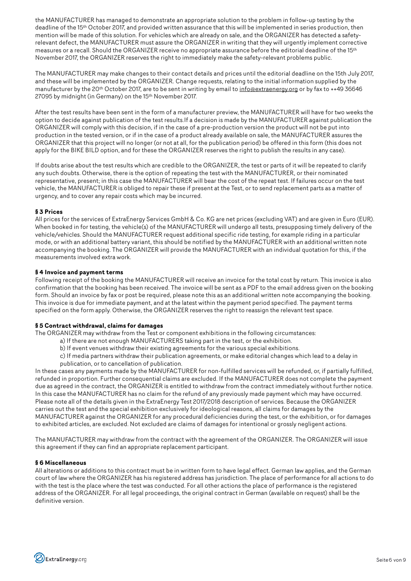the MANUFACTURER has managed to demonstrate an appropriate solution to the problem in follow-up testing by the deadline of the 15th October 2017, and provided written assurance that this will be implemented in series production, then mention will be made of this solution. For vehicles which are already on sale, and the ORGANIZER has detected a safetyrelevant defect, the MANUFACTURER must assure the ORGANIZER in writing that they will urgently implement corrective measures or a recall. Should the ORGANIZER receive no appropriate assurance before the editorial deadline of the 15<sup>th</sup> November 2017, the ORGANIZER reserves the right to immediately make the safety-relevant problems public.

The MANUFACTURER may make changes to their contact details and prices until the editorial deadline on the 15th July 2017, and these will be implemented by the ORGANIZER. Change requests, relating to the initial information supplied by the manufacturer by the 20th October 2017, are to be sent in writing by email to info@extraenergy.org or by fax to ++49 36646 27095 by midnight (in Germany) on the 15th November 2017.

After the test results have been sent in the form of a manufacturer preview, the MANUFACTURER will have for two weeks the option to decide against publication of the test results.If a decision is made by the MANUFACTURER against publication the ORGANIZER will comply with this decision, if in the case of a pre-production version the product will not be put into production in the tested version, or if in the case of a product already available on sale, the MANUFACTURER assures the ORGANIZER that this project will no longer (or not at all, for the publication period) be offered in this form (this does not apply for the BIKE BILD option, and for these the ORGANIZER reserves the right to publish the results in any case).

If doubts arise about the test results which are credible to the ORGANIZER, the test or parts of it will be repeated to clarify any such doubts. Otherwise, there is the option of repeating the test with the MANUFACTURER, or their nominated representative, present; in this case the MANUFACTURER will bear the cost of the repeat test. If failures occur on the test vehicle, the MANUFACTURER is obliged to repair these if present at the Test, or to send replacement parts as a matter of urgency, and to cover any repair costs which may be incurred.

#### **§ 3 Prices**

All prices for the services of ExtraEnergy Services GmbH & Co. KG are net prices (excluding VAT) and are given in Euro (EUR). When booked in for testing, the vehicle(s) of the MANUFACTURER will undergo all tests, presupposing timely delivery of the vehicle/vehicles. Should the MANUFACTURER request additional specific ride testing, for example riding in a particular mode, or with an additional battery variant, this should be notified by the MANUFACTURER with an additional written note accompanying the booking. The ORGANIZER will provide the MANUFACTURER with an individual quotation for this, if the measurements involved extra work.

#### **§ 4 Invoice and payment terms**

Following receipt of the booking the MANUFACTURER will receive an invoice for the total cost by return. This invoice is also confirmation that the booking has been received. The invoice will be sent as a PDF to the email address given on the booking form. Should an invoice by fax or post be required, please note this as an additional written note accompanying the booking. This invoice is due for immediate payment, and at the latest within the payment period specified. The payment terms specified on the form apply. Otherwise, the ORGANIZER reserves the right to reassign the relevant test space.

#### **§ 5 Contract withdrawal, claims for damages**

The ORGANIZER may withdraw from the Test or component exhibitions in the following circumstances:

- a) If there are not enough MANUFACTURERS taking part in the test, or the exhibition.
- b) If event venues withdraw their existing agreements for the various special exhibitions.
- c) If media partners withdraw their publication agreements, or make editorial changes which lead to a delay in publication, or to cancellation of publication.

In these cases any payments made by the MANUFACTURER for non-fulfilled services will be refunded, or, if partially fulfilled, refunded in proportion. Further consequential claims are excluded. If the MANUFACTURER does not complete the payment due as agreed in the contract, the ORGANIZER is entitled to withdraw from the contract immediately without further notice. In this case the MANUFACTURER has no claim for the refund of any previously made payment which may have occurred. Please note all of the details given in the ExtraEnergy Test 2017/2018 description of services. Because the ORGANIZER carries out the test and the special exhibition exclusively for ideological reasons, all claims for damages by the MANUFACTURER against the ORGANIZER for any procedural deficiencies during the test, or the exhibition, or for damages to exhibited articles, are excluded. Not excluded are claims of damages for intentional or grossly negligent actions.

The MANUFACTURER may withdraw from the contract with the agreement of the ORGANIZER. The ORGANIZER will issue this agreement if they can find an appropriate replacement participant.

#### **§ 6 Miscellaneous**

All alterations or additions to this contract must be in written form to have legal effect. German law applies, and the German court of law where the ORGANIZER has his registered address has jurisdiction. The place of performance for all actions to do with the test is the place where the test was conducted. For all other actions the place of performance is the registered address of the ORGANIZER. For all legal proceedings, the original contract in German (available on request) shall be the definitive version.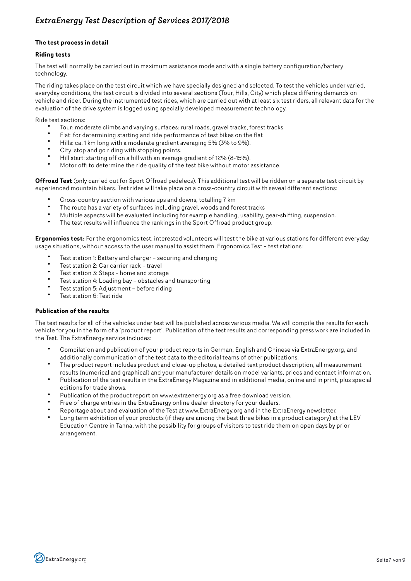## *ExtraEnergy Test Description of Services 2017/2018*

#### **The test process in detail**

#### **Riding tests**

The test will normally be carried out in maximum assistance mode and with a single battery configuration/battery technology.

The riding takes place on the test circuit which we have specially designed and selected. To test the vehicles under varied, everyday conditions, the test circuit is divided into several sections (Tour, Hills, City) which place differing demands on vehicle and rider. During the instrumented test rides, which are carried out with at least six test riders, all relevant data for the evaluation of the drive system is logged using specially developed measurement technology.

Ride test sections:

- Tour: moderate climbs and varying surfaces: rural roads, gravel tracks, forest tracks
- Flat: for determining starting and ride performance of test bikes on the flat
- Hills: ca. 1 km long with a moderate gradient averaging 5% (3% to 9%).
- City: stop and go riding with stopping points.
- Hill start: starting off on a hill with an average gradient of 12% (8-15%).
- Motor off: to determine the ride quality of the test bike without motor assistance.

**Offroad Test** (only carried out for Sport Offroad pedelecs). This additional test will be ridden on a separate test circuit by experienced mountain bikers. Test rides will take place on a cross-country circuit with seveal different sections:

- Cross-country section with various ups and downs, totalling 7 km<br>• The revision overight of sympatosis plying gravely up also and fa
- The route has a variety of surfaces including gravel, woods and forest tracks
- Multiple aspects will be evaluated including for example handling, usability, gear-shifting, suspension.
- The test results will influence the rankings in the Sport Offroad product group.

**Ergonomics test:** For the ergonomics test, interested volunteers will test the bike at various stations for different everyday usage situations, without access to the user manual to assist them. Ergonomics Test – test stations:

- Test station 1: Battery and charger securing and charging
- Test station 2: Car carrier rack travel
- Test station 3: Steps home and storage
- Test station 4: Loading bay obstacles and transporting
- Test station 5: Adjustment before riding
- Test station 6: Test ride

#### **Publication of the results**

The test results for all of the vehicles under test will be published across various media. We will compile the results for each vehicle for you in the form of a 'product report'. Publication of the test results and corresponding press work are included in the Test. The ExtraEnergy service includes:

- Compilation and publication of your product reports in German, English and Chinese via ExtraEnergy.org, and additionally communication of the test data to the editorial teams of other publications.
- The product report includes product and close-up photos, a detailed text product description, all measurement results (numerical and graphical) and your manufacturer details on model variants, prices and contact information.
- Publication of the test results in the ExtraEnergy Magazine and in additional media, online and in print, plus special editions for trade shows.
- Publication of the product report on www.extraenergy.org as a free download version.
- Free of charge entries in the ExtraEnergy online dealer directory for your dealers.
- Reportage about and evaluation of the Test at www.ExtraEnergy.org and in the ExtraEnergy newsletter.
- Long term exhibition of your products (if they are among the best three bikes in a product category) at the LEV Education Centre in Tanna, with the possibility for groups of visitors to test ride them on open days by prior arrangement.

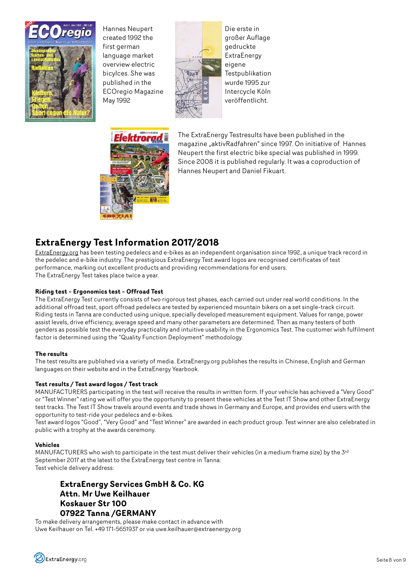

Hannes Neupert created 1992 the first german language market overview electric bicylces. She was published in the ECOregio Magazine May 1992



Die erste in großer Auflage gedruckte ExtraEnergy eigene **Testpublikation** wurde 1995 zur Intercycle Köln veröffentlicht.



The ExtraEnergy Testresults have been published in the magazine "aktivRadfahren" since 1997. On initiative of Hannes Neupert the first electric bike special was published in 1999. Since 2008 it is published regularly. It was a coproduction of Hannes Neupert and Daniel Fikuart.

# **ExtraEnergy Test Information 2017/2018**

ExtraEnergy.org has been testing pedelecs and e-bikes as an independent organisation since 1992, a unique track record in the pedelec and e-bike industry. The prestigious ExtraEnergy Test award logos are recognised certificates of test performance, marking out excellent products and providing recommendations for end users. The ExtraEnergy Test takes place twice a year.

#### **Riding test – Ergonomics test – Offroad Test**

The ExtraEnergy Test currently consists of two rigorous test phases, each carried out under real world conditions. In the additional offroad test, sport offroad pedelecs are tested by experienced mountain bikers on a set single-track circuit. Riding tests in Tanna are conducted using unique, specially developed measurement equipment. Values for range, power assist levels, drive efficiency, average speed and many other parameters are determined. Then as many testers of both genders as possible test the everyday practicality and intuitive usability in the Ergonomics Test. The customer wish fulfilment factor is determined using the "Quality Function Deployment" methodology.

#### **The results**

The test results are published via a variety of media. ExtraEnergy.org publishes the results in Chinese, English and German languages on their website and in the ExtraEnergy Yearbook.

#### **Test results / Test award logos / Test track**

MANUFACTURERS participating in the test will receive the results in written form. If your vehicle has achieved a "Very Good" or "Test Winner" rating we will offer you the opportunity to present these vehicles at the Test IT Show and other ExtraEnergy test tracks. The Test IT Show travels around events and trade shows in Germany and Europe, and provides end users with the opportunity to test-ride your pedelecs and e-bikes.

Test award logos "Good", "Very Good" and "Test Winner" are awarded in each product group. Test winner are also celebrated in public with a trophy at the awards ceremony.

#### **Vehicles**

MANUFACTURERS who wish to participate in the test must deliver their vehicles (in a medium frame size) by the 3<sup>rd</sup> September 2017 at the latest to the ExtraEnergy test centre in Tanna: Test vehicle delivery address:

## **ExtraEnergy Services GmbH & Co. KG Attn. Mr Uwe Keilhauer Koskauer Str 100 07922 Tanna /GERMANY**

To make delivery arrangements, please make contact in advance with Uwe Keilhauer on Tel. +49 171-5651937 or via uwe.keilhauer@extraenergy.org

ExtraEnergy.org